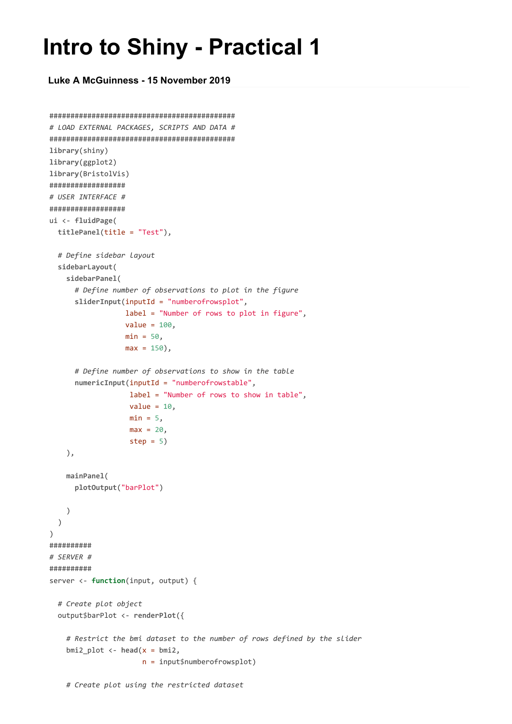## **Intro to Shiny - Practical 1**

**Luke A McGuinness - 15 November 2019**

```
############################################
# LOAD EXTERNAL PACKAGES, SCRIPTS AND DATA #
############################################
library(shiny)
library(ggplot2)
library(BristolVis)
##################
# USER INTERFACE #
##################
ui <- fluidPage(
 titlePanel(title = "Test"),
  # Define sidebar layout
  sidebarLayout(
   sidebarPanel(
      # Define number of observations to plot in the figure
      sliderInput(inputId = "numberofrowsplot",
                  label = "Number of rows to plot in figure",
                  value = 100,
                  min = 50,
                  max = 150,
      # Define number of observations to show in the table
      numericInput(inputId = "numberofrowstable",
                   label = "Number of rows to show in table",
                   value = 10,
                   min = 5,
                   max = 20step = 5)),
    mainPanel(
      plotOutput("barPlot")
    )
  )
\lambda##########
# SERVER #
##########
server <- function(input, output) {
  # Create plot object
  output$barPlot <- renderPlot({
    # Restrict the bmi dataset to the number of rows defined by the slider
    bmi2_plot <- head(x = bmi2,
                      n = input$numberofrowsplot)
```